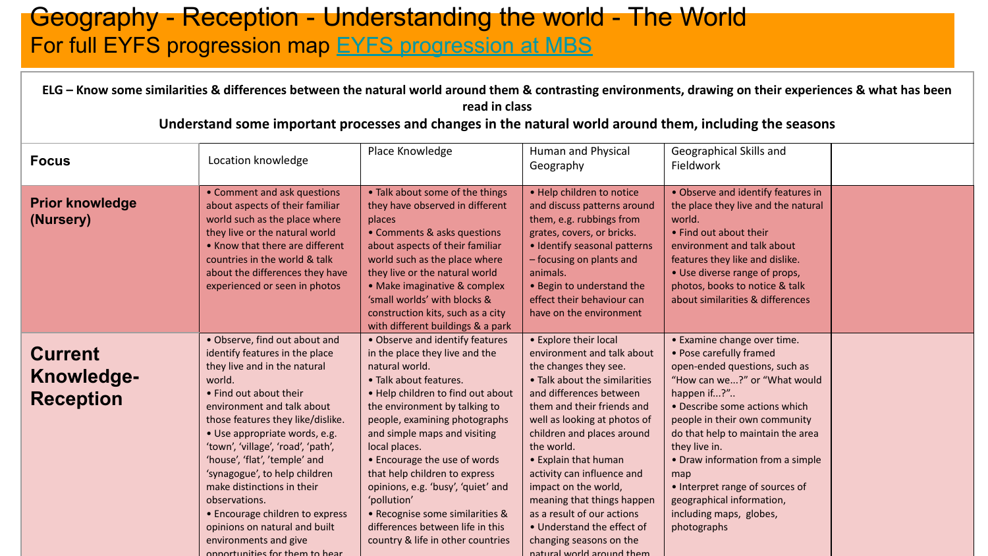### Geography - Reception - Understanding the world - The World For full EYFS progression map [EYFS progression at MBS](https://docs.google.com/document/d/1Fjp4Mb__3HR2x5li01iG9ZbmKtdrE0w4/edit?usp=sharing&ouid=114251434962053005645&rtpof=true&sd=true)

|                                                         | ELG - Know some similarities & differences between the natural world around them & contrasting environments, drawing on their experiences & what has been<br>read in class<br>Understand some important processes and changes in the natural world around them, including the seasons                                                                                                                                                                                                                                         |                                                                                                                                                                                                                                                                                                                                                                                                                                                                                                         |                                                                                                                                                                                                                                                                                                                                                                                                                                                                                    |                                                                                                                                                                                                                                                                                                                                                                                                                     |  |  |  |  |  |  |  |
|---------------------------------------------------------|-------------------------------------------------------------------------------------------------------------------------------------------------------------------------------------------------------------------------------------------------------------------------------------------------------------------------------------------------------------------------------------------------------------------------------------------------------------------------------------------------------------------------------|---------------------------------------------------------------------------------------------------------------------------------------------------------------------------------------------------------------------------------------------------------------------------------------------------------------------------------------------------------------------------------------------------------------------------------------------------------------------------------------------------------|------------------------------------------------------------------------------------------------------------------------------------------------------------------------------------------------------------------------------------------------------------------------------------------------------------------------------------------------------------------------------------------------------------------------------------------------------------------------------------|---------------------------------------------------------------------------------------------------------------------------------------------------------------------------------------------------------------------------------------------------------------------------------------------------------------------------------------------------------------------------------------------------------------------|--|--|--|--|--|--|--|
| <b>Focus</b>                                            | Location knowledge                                                                                                                                                                                                                                                                                                                                                                                                                                                                                                            | Place Knowledge                                                                                                                                                                                                                                                                                                                                                                                                                                                                                         | Human and Physical<br>Geography                                                                                                                                                                                                                                                                                                                                                                                                                                                    | Geographical Skills and<br>Fieldwork                                                                                                                                                                                                                                                                                                                                                                                |  |  |  |  |  |  |  |
| <b>Prior knowledge</b><br>(Nursery)                     | • Comment and ask questions<br>about aspects of their familiar<br>world such as the place where<br>they live or the natural world<br>• Know that there are different<br>countries in the world & talk<br>about the differences they have<br>experienced or seen in photos                                                                                                                                                                                                                                                     | • Talk about some of the things<br>they have observed in different<br>places<br>• Comments & asks questions<br>about aspects of their familiar<br>world such as the place where<br>they live or the natural world<br>• Make imaginative & complex<br>'small worlds' with blocks &<br>construction kits, such as a city<br>with different buildings & a park                                                                                                                                             | . Help children to notice<br>and discuss patterns around<br>them, e.g. rubbings from<br>grates, covers, or bricks.<br>• Identify seasonal patterns<br>- focusing on plants and<br>animals.<br>• Begin to understand the<br>effect their behaviour can<br>have on the environment                                                                                                                                                                                                   | • Observe and identify features in<br>the place they live and the natural<br>world.<br>• Find out about their<br>environment and talk about<br>features they like and dislike.<br>• Use diverse range of props,<br>photos, books to notice & talk<br>about similarities & differences                                                                                                                               |  |  |  |  |  |  |  |
| <b>Current</b><br><b>Knowledge-</b><br><b>Reception</b> | • Observe, find out about and<br>identify features in the place<br>they live and in the natural<br>world.<br>• Find out about their<br>environment and talk about<br>those features they like/dislike.<br>· Use appropriate words, e.g.<br>'town', 'village', 'road', 'path',<br>'house', 'flat', 'temple' and<br>'synagogue', to help children<br>make distinctions in their<br>observations.<br>• Encourage children to express<br>opinions on natural and built<br>environments and give<br>opportunities for them to hear | • Observe and identify features<br>in the place they live and the<br>natural world.<br>• Talk about features.<br>. Help children to find out about<br>the environment by talking to<br>people, examining photographs<br>and simple maps and visiting<br>local places.<br>• Encourage the use of words<br>that help children to express<br>opinions, e.g. 'busy', 'quiet' and<br>'pollution'<br>• Recognise some similarities &<br>differences between life in this<br>country & life in other countries | • Explore their local<br>environment and talk about<br>the changes they see.<br>• Talk about the similarities<br>and differences between<br>them and their friends and<br>well as looking at photos of<br>children and places around<br>the world.<br>• Explain that human<br>activity can influence and<br>impact on the world,<br>meaning that things happen<br>as a result of our actions<br>• Understand the effect of<br>changing seasons on the<br>natural world around them | • Examine change over time.<br>• Pose carefully framed<br>open-ended questions, such as<br>"How can we?" or "What would<br>happen if?"<br>• Describe some actions which<br>people in their own community<br>do that help to maintain the area<br>they live in.<br>• Draw information from a simple<br>map<br>• Interpret range of sources of<br>geographical information,<br>including maps, globes,<br>photographs |  |  |  |  |  |  |  |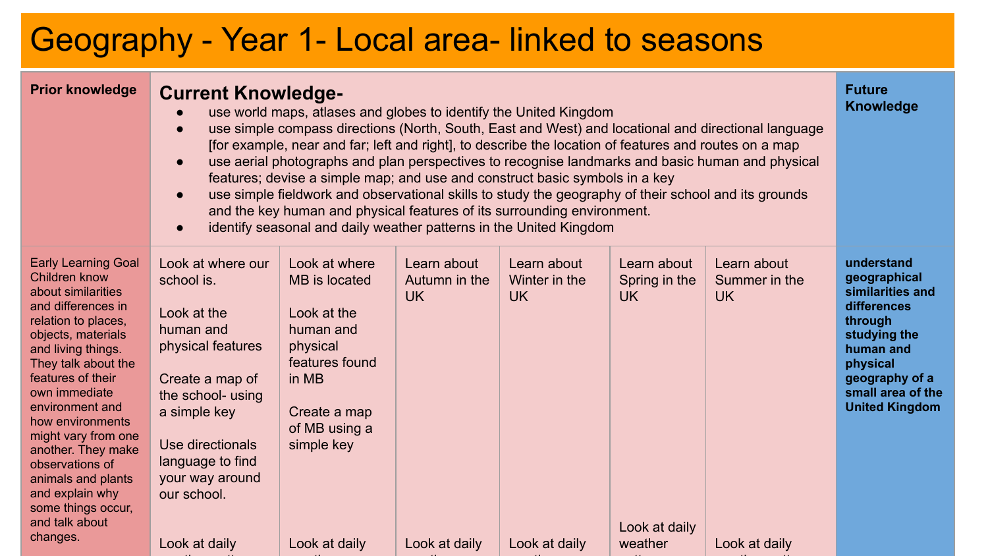# Geography - Year 1- Local area- linked to seasons

weather patterns and the patterns of the patterns of the patterns of the patterns of the patterns of the patterns of the patterns of the patterns of the patterns of the patterns of the patterns of the patterns of the patte

weather the contract of the contract of the contract of the contract of the contract of the contract of the contract of the contract of the contract of the contract of the contract of the contract of the contract of the co

| <b>Prior knowledge</b>                                                                                                                                                                                                                                                                                                                                                                                                             | <b>Current Knowledge-</b><br>$\bullet$<br>$\bullet$                                                                                                                                                                                 | use world maps, atlases and globes to identify the United Kingdom<br>[for example, near and far; left and right], to describe the location of features and routes on a map<br>features; devise a simple map; and use and construct basic symbols in a key<br>use simple fieldwork and observational skills to study the geography of their school and its grounds<br>and the key human and physical features of its surrounding environment.<br>identify seasonal and daily weather patterns in the United Kingdom |                                                            |                                                      |                                                                 | use simple compass directions (North, South, East and West) and locational and directional language<br>use aerial photographs and plan perspectives to recognise landmarks and basic human and physical | <b>Future</b><br>Knowledge                                                                                                                                                        |
|------------------------------------------------------------------------------------------------------------------------------------------------------------------------------------------------------------------------------------------------------------------------------------------------------------------------------------------------------------------------------------------------------------------------------------|-------------------------------------------------------------------------------------------------------------------------------------------------------------------------------------------------------------------------------------|--------------------------------------------------------------------------------------------------------------------------------------------------------------------------------------------------------------------------------------------------------------------------------------------------------------------------------------------------------------------------------------------------------------------------------------------------------------------------------------------------------------------|------------------------------------------------------------|------------------------------------------------------|-----------------------------------------------------------------|---------------------------------------------------------------------------------------------------------------------------------------------------------------------------------------------------------|-----------------------------------------------------------------------------------------------------------------------------------------------------------------------------------|
| <b>Early Learning Goal</b><br><b>Children know</b><br>about similarities<br>and differences in<br>relation to places,<br>objects, materials<br>and living things.<br>They talk about the<br>features of their<br>own immediate<br>environment and<br>how environments<br>might vary from one<br>another. They make<br>observations of<br>animals and plants<br>and explain why<br>some things occur,<br>and talk about<br>changes. | Look at where our<br>school is.<br>Look at the<br>human and<br>physical features<br>Create a map of<br>the school- using<br>a simple key<br>Use directionals<br>language to find<br>your way around<br>our school.<br>Look at daily | Look at where<br>MB is located<br>Look at the<br>human and<br>physical<br>features found<br>in MB<br>Create a map<br>of MB using a<br>simple key<br>Look at daily                                                                                                                                                                                                                                                                                                                                                  | Learn about<br>Autumn in the<br><b>UK</b><br>Look at daily | Learn about<br>Winter in the<br>UK.<br>Look at daily | Learn about<br>Spring in the<br>UK.<br>Look at daily<br>weather | Learn about<br>Summer in the<br><b>UK</b><br>Look at daily                                                                                                                                              | understand<br>geographical<br>similarities and<br>differences<br>through<br>studying the<br>human and<br>physical<br>geography of a<br>small area of the<br><b>United Kingdom</b> |

weather the contract of the contract of the contract of the contract of the contract of the contract of the contract of the contract of the contract of the contract of the contract of the contract of the contract of the co

patterns and patterns are a second controller

weather patterns and the patterns of the patterns of the patterns of the patterns of the patterns of the patterns of the patterns of the patterns of the patterns of the patterns of the patterns of the patterns of the patte

weather the contract of the contract of the contract of the contract of the contract of the contract of the contract of the contract of the contract of the contract of the contract of the contract of the contract of the co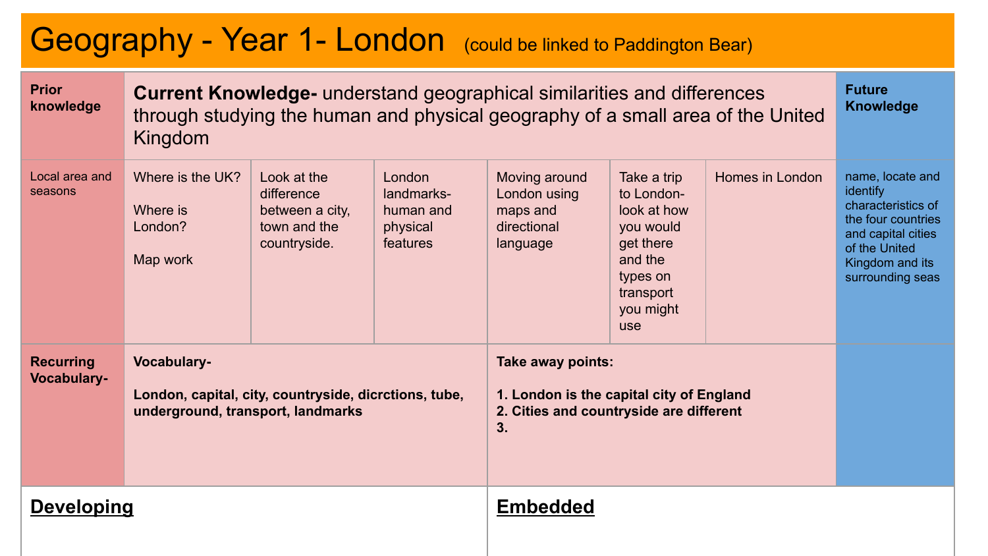# Geography - Year 1- London (could be linked to Paddington Bear)

| <b>Prior</b><br>knowledge              | Kingdom                                                                                                   | <b>Current Knowledge-</b> understand geographical similarities and differences<br>through studying the human and physical geography of a small area of the United |                                                           |                                                                                                                |                                                                                                                            |                 |                                                                                                                                                        |  |
|----------------------------------------|-----------------------------------------------------------------------------------------------------------|-------------------------------------------------------------------------------------------------------------------------------------------------------------------|-----------------------------------------------------------|----------------------------------------------------------------------------------------------------------------|----------------------------------------------------------------------------------------------------------------------------|-----------------|--------------------------------------------------------------------------------------------------------------------------------------------------------|--|
| Local area and<br>seasons              | Where is the UK?<br>Where is<br>London?<br>Map work                                                       | Look at the<br>difference<br>between a city,<br>town and the<br>countryside.                                                                                      | London<br>landmarks-<br>human and<br>physical<br>features | Moving around<br>London using<br>maps and<br>directional<br>language                                           | Take a trip<br>to London-<br>look at how<br>you would<br>get there<br>and the<br>types on<br>transport<br>you might<br>use | Homes in London | name, locate and<br>identify<br>characteristics of<br>the four countries<br>and capital cities<br>of the United<br>Kingdom and its<br>surrounding seas |  |
| <b>Recurring</b><br><b>Vocabulary-</b> | Vocabulary-<br>London, capital, city, countryside, dicrctions, tube,<br>underground, transport, landmarks |                                                                                                                                                                   |                                                           | Take away points:<br>1. London is the capital city of England<br>2. Cities and countryside are different<br>3. |                                                                                                                            |                 |                                                                                                                                                        |  |
| <b>Developing</b>                      |                                                                                                           |                                                                                                                                                                   | <b>Embedded</b>                                           |                                                                                                                |                                                                                                                            |                 |                                                                                                                                                        |  |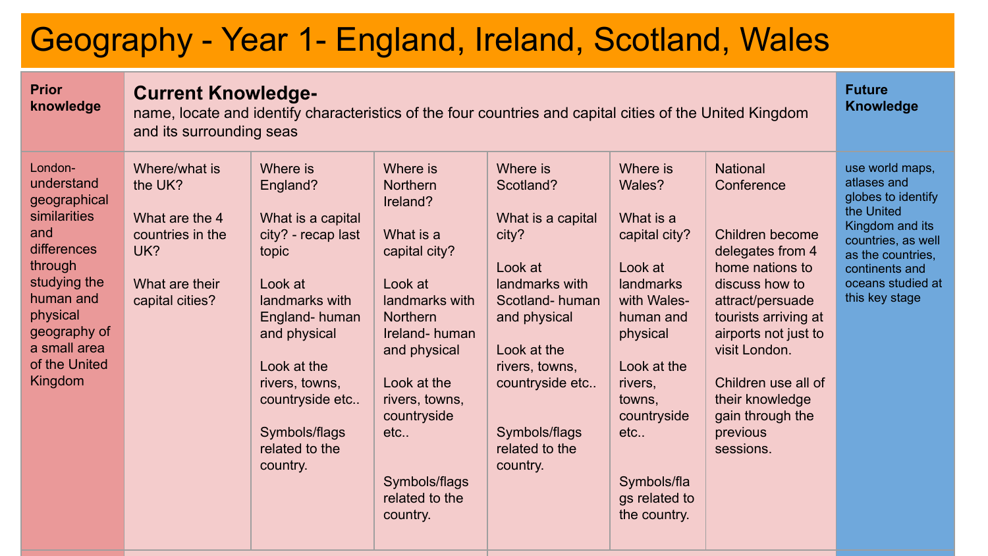# Geography - Year 1- England, Ireland, Scotland, Wales

| <b>Prior</b><br>knowledge                                                                                                                                                                   |                                                                                                            | <b>Current Knowledge-</b><br>name, locate and identify characteristics of the four countries and capital cities of the United Kingdom<br>and its surrounding seas                                                                         |                                                                                                                                                                                                                                                                |                                                                                                                                                                                                                       |                                                                                                                                                                                                                              |                                                                                                                                                                                                                                                                                       |                                                                                                                                                                                           |  |  |
|---------------------------------------------------------------------------------------------------------------------------------------------------------------------------------------------|------------------------------------------------------------------------------------------------------------|-------------------------------------------------------------------------------------------------------------------------------------------------------------------------------------------------------------------------------------------|----------------------------------------------------------------------------------------------------------------------------------------------------------------------------------------------------------------------------------------------------------------|-----------------------------------------------------------------------------------------------------------------------------------------------------------------------------------------------------------------------|------------------------------------------------------------------------------------------------------------------------------------------------------------------------------------------------------------------------------|---------------------------------------------------------------------------------------------------------------------------------------------------------------------------------------------------------------------------------------------------------------------------------------|-------------------------------------------------------------------------------------------------------------------------------------------------------------------------------------------|--|--|
| London-<br>understand<br>geographical<br>similarities<br>and<br>differences<br>through<br>studying the<br>human and<br>physical<br>geography of<br>a small area<br>of the United<br>Kingdom | Where/what is<br>the UK?<br>What are the 4<br>countries in the<br>UK?<br>What are their<br>capital cities? | Where is<br>England?<br>What is a capital<br>city? - recap last<br>topic<br>Look at<br>landmarks with<br>England-human<br>and physical<br>Look at the<br>rivers, towns,<br>countryside etc<br>Symbols/flags<br>related to the<br>country. | Where is<br><b>Northern</b><br>Ireland?<br>What is a<br>capital city?<br>Look at<br>landmarks with<br><b>Northern</b><br>Ireland-human<br>and physical<br>Look at the<br>rivers, towns,<br>countryside<br>etc.,<br>Symbols/flags<br>related to the<br>country. | Where is<br>Scotland?<br>What is a capital<br>city?<br>Look at<br>landmarks with<br>Scotland-human<br>and physical<br>Look at the<br>rivers, towns,<br>countryside etc<br>Symbols/flags<br>related to the<br>country. | Where is<br>Wales?<br>What is a<br>capital city?<br>Look at<br>landmarks<br>with Wales-<br>human and<br>physical<br>Look at the<br>rivers,<br>towns.<br>countryside<br>etc.,<br>Symbols/fla<br>gs related to<br>the country. | <b>National</b><br>Conference<br>Children become<br>delegates from 4<br>home nations to<br>discuss how to<br>attract/persuade<br>tourists arriving at<br>airports not just to<br>visit London.<br>Children use all of<br>their knowledge<br>gain through the<br>previous<br>sessions. | use world maps,<br>atlases and<br>globes to identify<br>the United<br>Kingdom and its<br>countries, as well<br>as the countries,<br>continents and<br>oceans studied at<br>this key stage |  |  |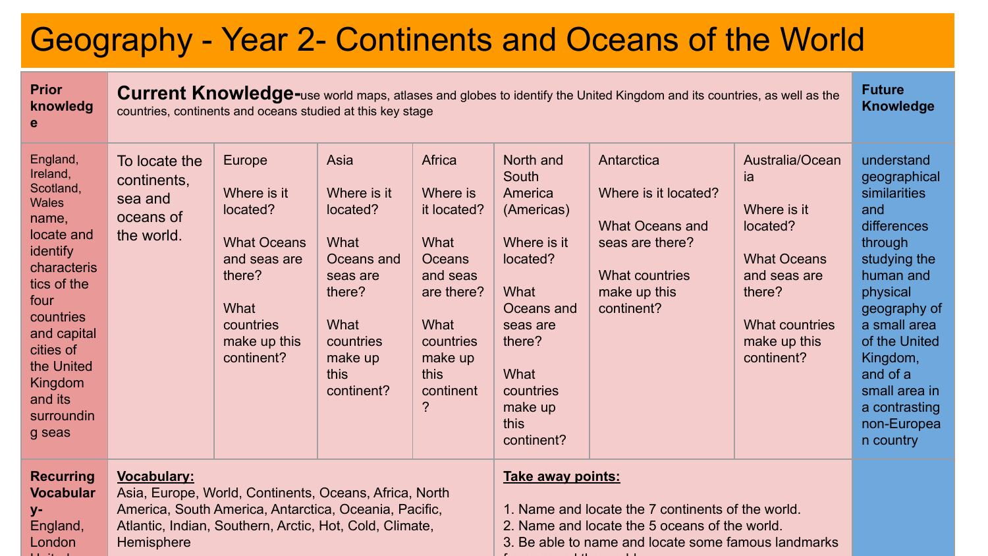# Geography - Year 2- Continents and Oceans of the World

| <b>Prior</b><br>knowledg<br>е                                                                                                                                                                                                   |                                                                                                                                                                                                                | <b>Future</b><br>Current Knowledge-use world maps, atlases and globes to identify the United Kingdom and its countries, as well as the<br><b>Knowledge</b><br>countries, continents and oceans studied at this key stage |                                                                                                                                   |                                                                                                                                                                                |                                                                                                                                                                          |                                                                                                                          |                                                                                                                                                  |                                                                                                                                                                                                                                                             |  |
|---------------------------------------------------------------------------------------------------------------------------------------------------------------------------------------------------------------------------------|----------------------------------------------------------------------------------------------------------------------------------------------------------------------------------------------------------------|--------------------------------------------------------------------------------------------------------------------------------------------------------------------------------------------------------------------------|-----------------------------------------------------------------------------------------------------------------------------------|--------------------------------------------------------------------------------------------------------------------------------------------------------------------------------|--------------------------------------------------------------------------------------------------------------------------------------------------------------------------|--------------------------------------------------------------------------------------------------------------------------|--------------------------------------------------------------------------------------------------------------------------------------------------|-------------------------------------------------------------------------------------------------------------------------------------------------------------------------------------------------------------------------------------------------------------|--|
| England,<br>Ireland,<br>Scotland,<br><b>Wales</b><br>name,<br>locate and<br>identify<br>characteris<br>tics of the<br>four<br>countries<br>and capital<br>cities of<br>the United<br>Kingdom<br>and its<br>surroundin<br>g seas | To locate the<br>continents,<br>sea and<br>oceans of<br>the world.                                                                                                                                             | Europe<br>Where is it<br>located?<br><b>What Oceans</b><br>and seas are<br>there?<br>What<br>countries<br>make up this<br>continent?                                                                                     | Asia<br>Where is it<br>located?<br>What<br>Oceans and<br>seas are<br>there?<br>What<br>countries<br>make up<br>this<br>continent? | Africa<br>Where is<br>it located?<br>What<br><b>Oceans</b><br>and seas<br>are there?<br>What<br>countries<br>make up<br>this<br>continent<br>?                                 | North and<br>South<br>America<br>(Americas)<br>Where is it<br>located?<br>What<br>Oceans and<br>seas are<br>there?<br>What<br>countries<br>make up<br>this<br>continent? | Antarctica<br>Where is it located?<br>What Oceans and<br>seas are there?<br>What countries<br>make up this<br>continent? | Australia/Ocean<br>ia<br>Where is it<br>located?<br><b>What Oceans</b><br>and seas are<br>there?<br>What countries<br>make up this<br>continent? | understand<br>geographical<br>similarities<br>and<br>differences<br>through<br>studying the<br>human and<br>physical<br>geography of<br>a small area<br>of the United<br>Kingdom,<br>and of a<br>small area in<br>a contrasting<br>non-Europea<br>n country |  |
| <b>Recurring</b><br><b>Vocabular</b><br>у-<br>England,<br>London                                                                                                                                                                | <b>Vocabulary:</b><br>Asia, Europe, World, Continents, Oceans, Africa, North<br>America, South America, Antarctica, Oceania, Pacific,<br>Atlantic, Indian, Southern, Arctic, Hot, Cold, Climate,<br>Hemisphere |                                                                                                                                                                                                                          |                                                                                                                                   | Take away points:<br>1. Name and locate the 7 continents of the world.<br>2. Name and locate the 5 oceans of the world.<br>3. Be able to name and locate some famous landmarks |                                                                                                                                                                          |                                                                                                                          |                                                                                                                                                  |                                                                                                                                                                                                                                                             |  |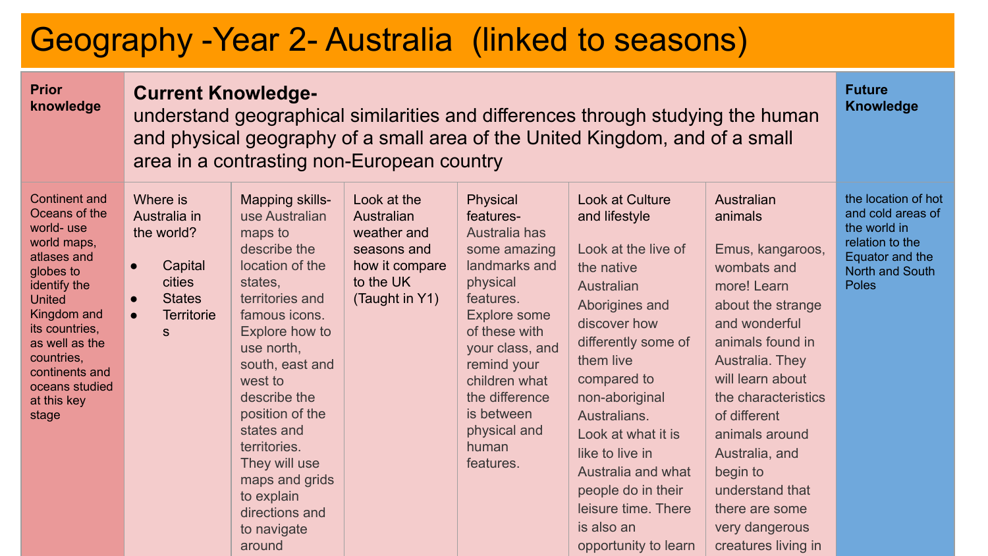# Geography -Year 2- Australia (linked to seasons)

| <b>Prior</b><br>knowledge                                                                                                                                                                                                                                   | <b>Current Knowledge-</b><br>and physical geography of a small area of the United Kingdom, and of a small<br>area in a contrasting non-European country | understand geographical similarities and differences through studying the human                                                                                                                                                                                                                                                                           | <b>Future</b><br>Knowledge                                                                               |                                                                                                                                                                                                                                                            |                                                                                                                                                                                                                                                                                                                                                              |                                                                                                                                                                                                                                                                                                                                               |                                                                                                                            |
|-------------------------------------------------------------------------------------------------------------------------------------------------------------------------------------------------------------------------------------------------------------|---------------------------------------------------------------------------------------------------------------------------------------------------------|-----------------------------------------------------------------------------------------------------------------------------------------------------------------------------------------------------------------------------------------------------------------------------------------------------------------------------------------------------------|----------------------------------------------------------------------------------------------------------|------------------------------------------------------------------------------------------------------------------------------------------------------------------------------------------------------------------------------------------------------------|--------------------------------------------------------------------------------------------------------------------------------------------------------------------------------------------------------------------------------------------------------------------------------------------------------------------------------------------------------------|-----------------------------------------------------------------------------------------------------------------------------------------------------------------------------------------------------------------------------------------------------------------------------------------------------------------------------------------------|----------------------------------------------------------------------------------------------------------------------------|
| <b>Continent and</b><br>Oceans of the<br>world-use<br>world maps,<br>atlases and<br>globes to<br>identify the<br><b>United</b><br>Kingdom and<br>its countries,<br>as well as the<br>countries.<br>continents and<br>oceans studied<br>at this key<br>stage | Where is<br>Australia in<br>the world?<br>Capital<br>$\bullet$<br>cities<br><b>States</b><br>$\bullet$<br><b>Territorie</b><br>$\bullet$<br>S           | Mapping skills-<br>use Australian<br>maps to<br>describe the<br>location of the<br>states,<br>territories and<br>famous icons.<br>Explore how to<br>use north,<br>south, east and<br>west to<br>describe the<br>position of the<br>states and<br>territories.<br>They will use<br>maps and grids<br>to explain<br>directions and<br>to navigate<br>around | Look at the<br>Australian<br>weather and<br>seasons and<br>how it compare<br>to the UK<br>(Taught in Y1) | Physical<br>features-<br>Australia has<br>some amazing<br>landmarks and<br>physical<br>features.<br>Explore some<br>of these with<br>your class, and<br>remind your<br>children what<br>the difference<br>is between<br>physical and<br>human<br>features. | Look at Culture<br>and lifestyle<br>Look at the live of<br>the native<br>Australian<br>Aborigines and<br>discover how<br>differently some of<br>them live<br>compared to<br>non-aboriginal<br>Australians.<br>Look at what it is<br>like to live in<br>Australia and what<br>people do in their<br>leisure time. There<br>is also an<br>opportunity to learn | Australian<br>animals<br>Emus, kangaroos,<br>wombats and<br>more! Learn<br>about the strange<br>and wonderful<br>animals found in<br>Australia. They<br>will learn about<br>the characteristics<br>of different<br>animals around<br>Australia, and<br>begin to<br>understand that<br>there are some<br>very dangerous<br>creatures living in | the location of hot<br>and cold areas of<br>the world in<br>relation to the<br>Equator and the<br>North and South<br>Poles |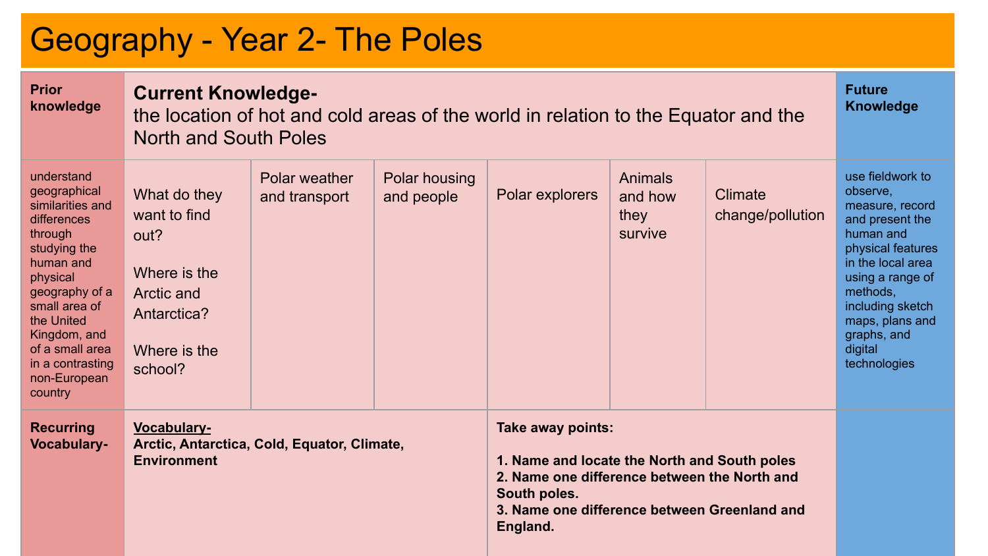# Geography - Year 2- The Poles

| <b>Prior</b><br>knowledge                                                                                                                                                                                                                            | <b>Current Knowledge-</b><br>the location of hot and cold areas of the world in relation to the Equator and the<br><b>North and South Poles</b> |                                | <b>Future</b><br><b>Knowledge</b> |                                                                                                                                                                                               |                                       |                             |                                                                                                                                                                                                                                            |
|------------------------------------------------------------------------------------------------------------------------------------------------------------------------------------------------------------------------------------------------------|-------------------------------------------------------------------------------------------------------------------------------------------------|--------------------------------|-----------------------------------|-----------------------------------------------------------------------------------------------------------------------------------------------------------------------------------------------|---------------------------------------|-----------------------------|--------------------------------------------------------------------------------------------------------------------------------------------------------------------------------------------------------------------------------------------|
| understand<br>geographical<br>similarities and<br>differences<br>through<br>studying the<br>human and<br>physical<br>geography of a<br>small area of<br>the United<br>Kingdom, and<br>of a small area<br>in a contrasting<br>non-European<br>country | What do they<br>want to find<br>out?<br>Where is the<br>Arctic and<br>Antarctica?<br>Where is the<br>school?                                    | Polar weather<br>and transport | Polar housing<br>and people       | Polar explorers                                                                                                                                                                               | Animals<br>and how<br>they<br>survive | Climate<br>change/pollution | use fieldwork to<br>observe.<br>measure, record<br>and present the<br>human and<br>physical features<br>in the local area<br>using a range of<br>methods.<br>including sketch<br>maps, plans and<br>graphs, and<br>digital<br>technologies |
| <b>Recurring</b><br><b>Vocabulary-</b>                                                                                                                                                                                                               | <b>Vocabulary-</b><br>Arctic, Antarctica, Cold, Equator, Climate,<br><b>Environment</b>                                                         |                                |                                   | Take away points:<br>1. Name and locate the North and South poles<br>2. Name one difference between the North and<br>South poles.<br>3. Name one difference between Greenland and<br>England. |                                       |                             |                                                                                                                                                                                                                                            |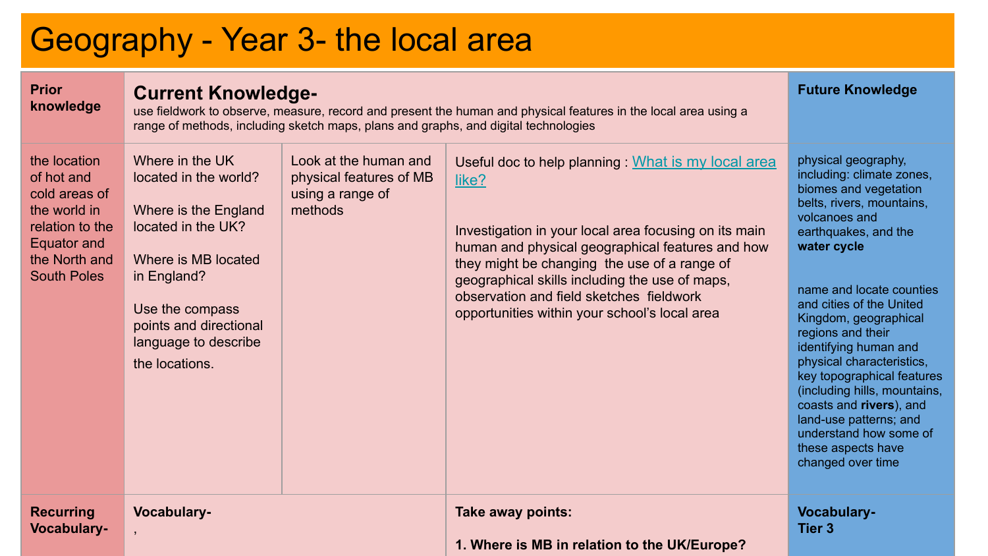# Geography - Year 3- the local area

| <b>Prior</b><br>knowledge                                                                                                            | <b>Current Knowledge-</b><br>use fieldwork to observe, measure, record and present the human and physical features in the local area using a<br>range of methods, including sketch maps, plans and graphs, and digital technologies | <b>Future Knowledge</b>                                                         |                                                                                                                                                                                                                                                                                                                                                                          |                                                                                                                                                                                                                                                                                                                                                                                                                                                                                                                    |
|--------------------------------------------------------------------------------------------------------------------------------------|-------------------------------------------------------------------------------------------------------------------------------------------------------------------------------------------------------------------------------------|---------------------------------------------------------------------------------|--------------------------------------------------------------------------------------------------------------------------------------------------------------------------------------------------------------------------------------------------------------------------------------------------------------------------------------------------------------------------|--------------------------------------------------------------------------------------------------------------------------------------------------------------------------------------------------------------------------------------------------------------------------------------------------------------------------------------------------------------------------------------------------------------------------------------------------------------------------------------------------------------------|
| the location<br>of hot and<br>cold areas of<br>the world in<br>relation to the<br>Equator and<br>the North and<br><b>South Poles</b> | Where in the UK<br>located in the world?<br>Where is the England<br>located in the UK?<br>Where is MB located<br>in England?<br>Use the compass<br>points and directional<br>language to describe<br>the locations.                 | Look at the human and<br>physical features of MB<br>using a range of<br>methods | Useful doc to help planning : What is my local area<br>like?<br>Investigation in your local area focusing on its main<br>human and physical geographical features and how<br>they might be changing the use of a range of<br>geographical skills including the use of maps,<br>observation and field sketches fieldwork<br>opportunities within your school's local area | physical geography,<br>including: climate zones,<br>biomes and vegetation<br>belts, rivers, mountains,<br>volcanoes and<br>earthquakes, and the<br>water cycle<br>name and locate counties<br>and cities of the United<br>Kingdom, geographical<br>regions and their<br>identifying human and<br>physical characteristics,<br>key topographical features<br>(including hills, mountains,<br>coasts and rivers), and<br>land-use patterns; and<br>understand how some of<br>these aspects have<br>changed over time |
| <b>Recurring</b><br><b>Vocabulary-</b>                                                                                               | Vocabulary-                                                                                                                                                                                                                         |                                                                                 | Take away points:<br>1. Where is MB in relation to the UK/Europe?                                                                                                                                                                                                                                                                                                        | Vocabulary-<br><b>Tier 3</b>                                                                                                                                                                                                                                                                                                                                                                                                                                                                                       |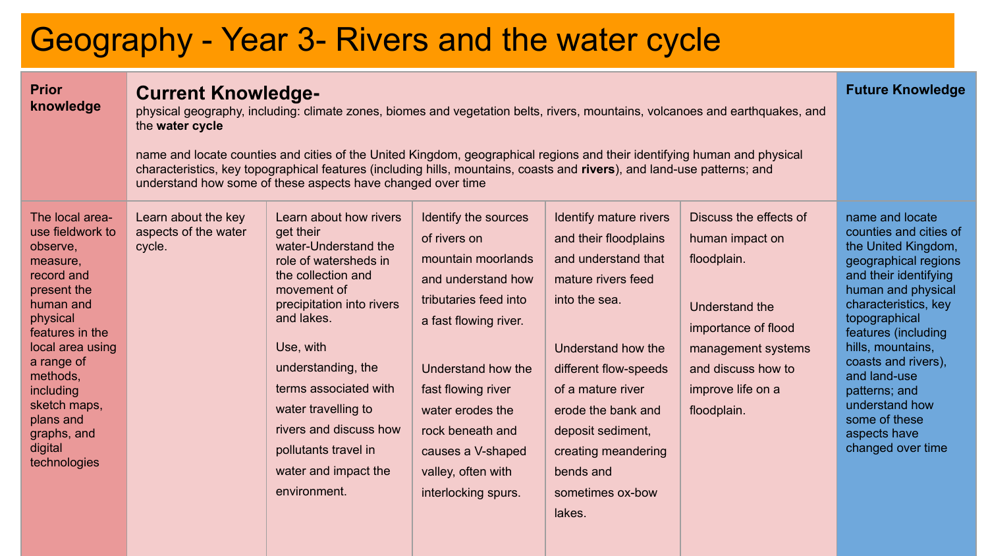# Geography - Year 3- Rivers and the water cycle

| <b>Prior</b><br>knowledge                                                                                                                                                                                                                                              | <b>Current Knowledge-</b><br>physical geography, including: climate zones, biomes and vegetation belts, rivers, mountains, volcanoes and earthquakes, and<br>the water cycle<br>name and locate counties and cities of the United Kingdom, geographical regions and their identifying human and physical<br>characteristics, key topographical features (including hills, mountains, coasts and rivers), and land-use patterns; and<br>understand how some of these aspects have changed over time | <b>Future Knowledge</b>                                                                                                                                                                                                                                                                                                                           |                                                                                                                                                                                                                                                                                          |                                                                                                                                                                                                                                                                                                |                                                                                                                                                                                   |                                                                                                                                                                                                                                                                                                                                                              |
|------------------------------------------------------------------------------------------------------------------------------------------------------------------------------------------------------------------------------------------------------------------------|----------------------------------------------------------------------------------------------------------------------------------------------------------------------------------------------------------------------------------------------------------------------------------------------------------------------------------------------------------------------------------------------------------------------------------------------------------------------------------------------------|---------------------------------------------------------------------------------------------------------------------------------------------------------------------------------------------------------------------------------------------------------------------------------------------------------------------------------------------------|------------------------------------------------------------------------------------------------------------------------------------------------------------------------------------------------------------------------------------------------------------------------------------------|------------------------------------------------------------------------------------------------------------------------------------------------------------------------------------------------------------------------------------------------------------------------------------------------|-----------------------------------------------------------------------------------------------------------------------------------------------------------------------------------|--------------------------------------------------------------------------------------------------------------------------------------------------------------------------------------------------------------------------------------------------------------------------------------------------------------------------------------------------------------|
| The local area-<br>use fieldwork to<br>observe.<br>measure,<br>record and<br>present the<br>human and<br>physical<br>features in the<br>local area using<br>a range of<br>methods.<br>including<br>sketch maps.<br>plans and<br>graphs, and<br>digital<br>technologies | Learn about the key<br>aspects of the water<br>cycle.                                                                                                                                                                                                                                                                                                                                                                                                                                              | Learn about how rivers<br>get their<br>water-Understand the<br>role of watersheds in<br>the collection and<br>movement of<br>precipitation into rivers<br>and lakes.<br>Use, with<br>understanding, the<br>terms associated with<br>water travelling to<br>rivers and discuss how<br>pollutants travel in<br>water and impact the<br>environment. | Identify the sources<br>of rivers on<br>mountain moorlands<br>and understand how<br>tributaries feed into<br>a fast flowing river.<br>Understand how the<br>fast flowing river<br>water erodes the<br>rock beneath and<br>causes a V-shaped<br>valley, often with<br>interlocking spurs. | Identify mature rivers<br>and their floodplains<br>and understand that<br>mature rivers feed<br>into the sea.<br>Understand how the<br>different flow-speeds<br>of a mature river<br>erode the bank and<br>deposit sediment,<br>creating meandering<br>bends and<br>sometimes ox-bow<br>lakes. | Discuss the effects of<br>human impact on<br>floodplain.<br>Understand the<br>importance of flood<br>management systems<br>and discuss how to<br>improve life on a<br>floodplain. | name and locate<br>counties and cities of<br>the United Kingdom,<br>geographical regions<br>and their identifying<br>human and physical<br>characteristics, key<br>topographical<br>features (including<br>hills, mountains,<br>coasts and rivers),<br>and land-use<br>patterns; and<br>understand how<br>some of these<br>aspects have<br>changed over time |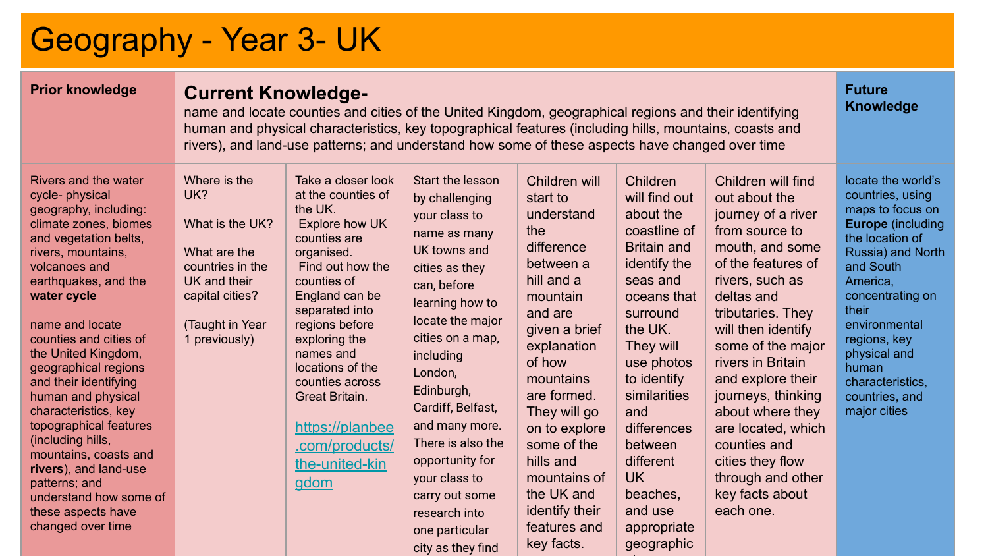# Geography - Year 3- UK

### **Prior knowledge Current Knowledge-**

name and locate counties and cities of the United Kingdom, geographical regions and their identifying human and physical characteristics, key topographical features (including hills, mountains, coasts and rivers), and land-use patterns; and understand how some of these aspects have changed over time

**Future Knowledge**

city as they find

key facts.

geographic

al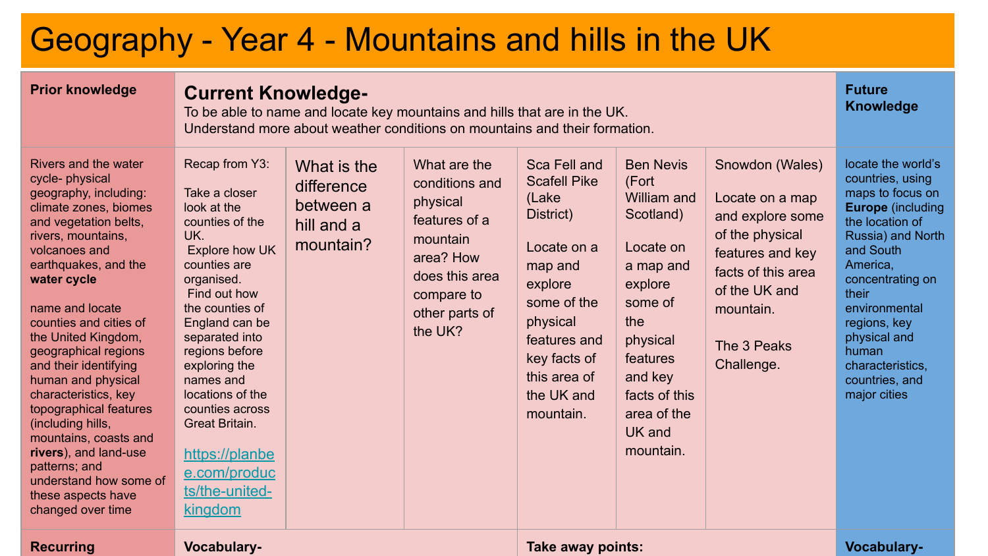# Geography - Year 4 - Mountains and hills in the UK

| <b>Prior knowledge</b>                                                                                                                                                                                                                                                                                                                                                                                                                                                                                                                                     |                                                                                                                                                                                                                                                                                                                                                                         | <b>Current Knowledge-</b><br>To be able to name and locate key mountains and hills that are in the UK.<br>Understand more about weather conditions on mountains and their formation. |                                                                                                                                                   |                                                                                                                                                                                                      |                                                                                                                                                                                                        |                                                                                                                                                                                |                                                                                                                                                                                                                                                                                                      |  |
|------------------------------------------------------------------------------------------------------------------------------------------------------------------------------------------------------------------------------------------------------------------------------------------------------------------------------------------------------------------------------------------------------------------------------------------------------------------------------------------------------------------------------------------------------------|-------------------------------------------------------------------------------------------------------------------------------------------------------------------------------------------------------------------------------------------------------------------------------------------------------------------------------------------------------------------------|--------------------------------------------------------------------------------------------------------------------------------------------------------------------------------------|---------------------------------------------------------------------------------------------------------------------------------------------------|------------------------------------------------------------------------------------------------------------------------------------------------------------------------------------------------------|--------------------------------------------------------------------------------------------------------------------------------------------------------------------------------------------------------|--------------------------------------------------------------------------------------------------------------------------------------------------------------------------------|------------------------------------------------------------------------------------------------------------------------------------------------------------------------------------------------------------------------------------------------------------------------------------------------------|--|
| Rivers and the water<br>cycle- physical<br>geography, including:<br>climate zones, biomes<br>and vegetation belts,<br>rivers, mountains,<br>volcanoes and<br>earthquakes, and the<br>water cycle<br>name and locate<br>counties and cities of<br>the United Kingdom,<br>geographical regions<br>and their identifying<br>human and physical<br>characteristics, key<br>topographical features<br>(including hills,<br>mountains, coasts and<br>rivers), and land-use<br>patterns; and<br>understand how some of<br>these aspects have<br>changed over time | Recap from Y3:<br>Take a closer<br>look at the<br>counties of the<br>UK.<br>Explore how UK<br>counties are<br>organised.<br>Find out how<br>the counties of<br>England can be<br>separated into<br>regions before<br>exploring the<br>names and<br>locations of the<br>counties across<br>Great Britain.<br>https://planbe<br>e.com/produc<br>ts/the-united-<br>kingdom | What is the<br>difference<br>between a<br>hill and a<br>mountain?                                                                                                                    | What are the<br>conditions and<br>physical<br>features of a<br>mountain<br>area? How<br>does this area<br>compare to<br>other parts of<br>the UK? | Sca Fell and<br><b>Scafell Pike</b><br>(Lake<br>District)<br>Locate on a<br>map and<br>explore<br>some of the<br>physical<br>features and<br>key facts of<br>this area of<br>the UK and<br>mountain. | <b>Ben Nevis</b><br>(Fort<br>William and<br>Scotland)<br>Locate on<br>a map and<br>explore<br>some of<br>the<br>physical<br>features<br>and key<br>facts of this<br>area of the<br>UK and<br>mountain. | Snowdon (Wales)<br>Locate on a map<br>and explore some<br>of the physical<br>features and key<br>facts of this area<br>of the UK and<br>mountain.<br>The 3 Peaks<br>Challenge. | locate the world's<br>countries, using<br>maps to focus on<br><b>Europe</b> (including<br>the location of<br>Russia) and North<br>and South<br>America,<br>concentrating on<br>their<br>environmental<br>regions, key<br>physical and<br>human<br>characteristics.<br>countries, and<br>major cities |  |
| <b>Recurring</b>                                                                                                                                                                                                                                                                                                                                                                                                                                                                                                                                           | Vocabulary-                                                                                                                                                                                                                                                                                                                                                             |                                                                                                                                                                                      |                                                                                                                                                   | Take away points:                                                                                                                                                                                    |                                                                                                                                                                                                        |                                                                                                                                                                                | <b>Vocabulary-</b>                                                                                                                                                                                                                                                                                   |  |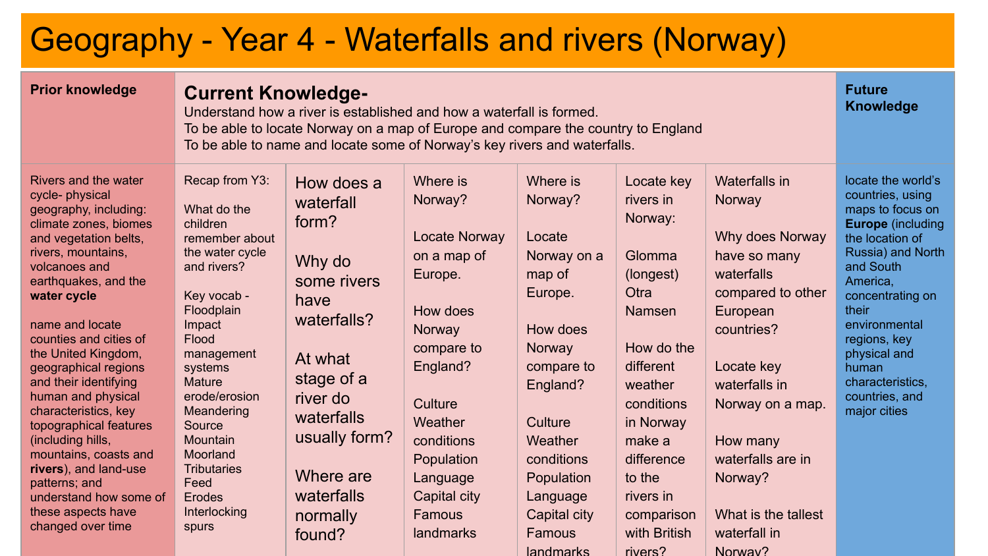# Geography - Year 4 - Waterfalls and rivers (Norway)

| <b>Prior knowledge</b>                                                                                                                                                                                                                                                                                                                                                                                                                                                                                                                                    | <b>Current Knowledge-</b><br>Understand how a river is established and how a waterfall is formed.<br>To be able to locate Norway on a map of Europe and compare the country to England<br>To be able to name and locate some of Norway's key rivers and waterfalls.                                                | <b>Future</b><br><b>Knowledge</b>                                                                                                                                                                     |                                                                                                                                                                                                                     |                                                                                                                                                                                                                               |                                                                                                                                                                                                                                             |                                                                                                                                                                                                                                                                          |                                                                                                                                                                                                                                                                                                      |
|-----------------------------------------------------------------------------------------------------------------------------------------------------------------------------------------------------------------------------------------------------------------------------------------------------------------------------------------------------------------------------------------------------------------------------------------------------------------------------------------------------------------------------------------------------------|--------------------------------------------------------------------------------------------------------------------------------------------------------------------------------------------------------------------------------------------------------------------------------------------------------------------|-------------------------------------------------------------------------------------------------------------------------------------------------------------------------------------------------------|---------------------------------------------------------------------------------------------------------------------------------------------------------------------------------------------------------------------|-------------------------------------------------------------------------------------------------------------------------------------------------------------------------------------------------------------------------------|---------------------------------------------------------------------------------------------------------------------------------------------------------------------------------------------------------------------------------------------|--------------------------------------------------------------------------------------------------------------------------------------------------------------------------------------------------------------------------------------------------------------------------|------------------------------------------------------------------------------------------------------------------------------------------------------------------------------------------------------------------------------------------------------------------------------------------------------|
| Rivers and the water<br>cycle-physical<br>geography, including:<br>climate zones, biomes<br>and vegetation belts,<br>rivers, mountains,<br>volcanoes and<br>earthquakes, and the<br>water cycle<br>name and locate<br>counties and cities of<br>the United Kingdom,<br>geographical regions<br>and their identifying<br>human and physical<br>characteristics, key<br>topographical features<br>(including hills,<br>mountains, coasts and<br>rivers), and land-use<br>patterns; and<br>understand how some of<br>these aspects have<br>changed over time | Recap from Y3:<br>What do the<br>children<br>remember about<br>the water cycle<br>and rivers?<br>Key vocab -<br>Floodplain<br>Impact<br>Flood<br>management<br>systems<br>Mature<br>erode/erosion<br>Meandering<br>Source<br>Mountain<br>Moorland<br><b>Tributaries</b><br>Feed<br>Erodes<br>Interlocking<br>spurs | How does a<br>waterfall<br>form?<br>Why do<br>some rivers<br>have<br>waterfalls?<br>At what<br>stage of a<br>river do<br>waterfalls<br>usually form?<br>Where are<br>waterfalls<br>normally<br>found? | Where is<br>Norway?<br>Locate Norway<br>on a map of<br>Europe.<br>How does<br>Norway<br>compare to<br>England?<br>Culture<br>Weather<br>conditions<br>Population<br>Language<br>Capital city<br>Famous<br>landmarks | Where is<br>Norway?<br>Locate<br>Norway on a<br>map of<br>Europe.<br>How does<br>Norway<br>compare to<br>England?<br>Culture<br>Weather<br>conditions<br>Population<br>Language<br>Capital city<br>Famous<br><b>landmarks</b> | Locate key<br>rivers in<br>Norway:<br>Glomma<br>(longest)<br>Otra<br><b>Namsen</b><br>How do the<br>different<br>weather<br>conditions<br>in Norway<br>make a<br>difference<br>to the<br>rivers in<br>comparison<br>with British<br>rivers? | Waterfalls in<br>Norway<br>Why does Norway<br>have so many<br>waterfalls<br>compared to other<br>European<br>countries?<br>Locate key<br>waterfalls in<br>Norway on a map.<br>How many<br>waterfalls are in<br>Norway?<br>What is the tallest<br>waterfall in<br>Norway? | locate the world's<br>countries, using<br>maps to focus on<br><b>Europe</b> (including<br>the location of<br>Russia) and North<br>and South<br>America,<br>concentrating on<br>their<br>environmental<br>regions, key<br>physical and<br>human<br>characteristics.<br>countries, and<br>major cities |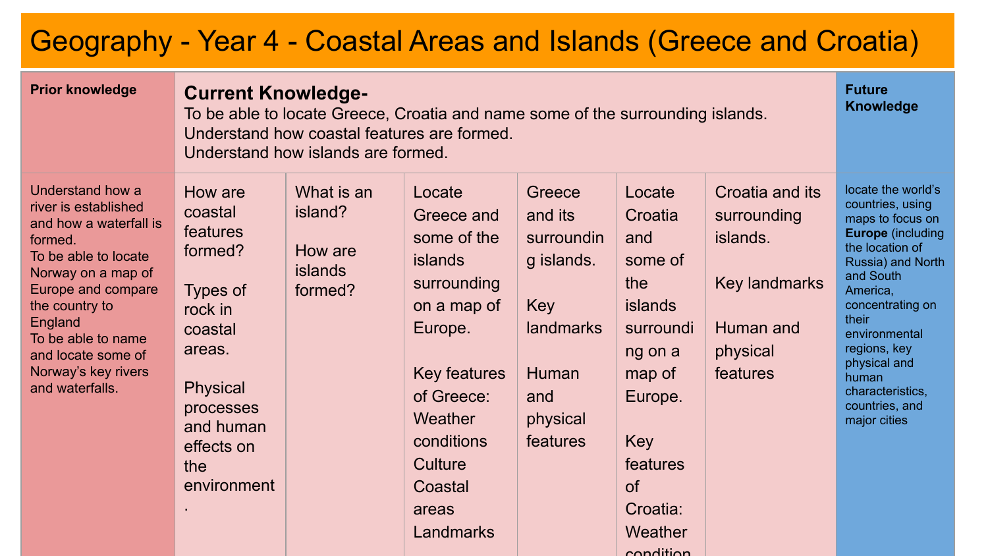### Geography - Year 4 - Coastal Areas and Islands (Greece and Croatia)

| <b>Prior knowledge</b>                                                                                                                                                                                                                                               | <b>Future</b><br><b>Current Knowledge-</b><br><b>Knowledge</b><br>To be able to locate Greece, Croatia and name some of the surrounding islands.<br>Understand how coastal features are formed.<br>Understand how islands are formed. |                                                               |                                                                                                                                                                                                   |                                                                                                                  |                                                                                                                                                    |                                                                                                  |                                                                                                                                                                                                                                                                                                      |  |
|----------------------------------------------------------------------------------------------------------------------------------------------------------------------------------------------------------------------------------------------------------------------|---------------------------------------------------------------------------------------------------------------------------------------------------------------------------------------------------------------------------------------|---------------------------------------------------------------|---------------------------------------------------------------------------------------------------------------------------------------------------------------------------------------------------|------------------------------------------------------------------------------------------------------------------|----------------------------------------------------------------------------------------------------------------------------------------------------|--------------------------------------------------------------------------------------------------|------------------------------------------------------------------------------------------------------------------------------------------------------------------------------------------------------------------------------------------------------------------------------------------------------|--|
| Understand how a<br>river is established<br>and how a waterfall is<br>formed.<br>To be able to locate<br>Norway on a map of<br>Europe and compare<br>the country to<br>England<br>To be able to name<br>and locate some of<br>Norway's key rivers<br>and waterfalls. | How are<br>coastal<br>features<br>formed?<br>Types of<br>rock in<br>coastal<br>areas.<br><b>Physical</b><br>processes<br>and human<br>effects on<br>the<br>environment                                                                | What is an<br>island?<br>How are<br><b>islands</b><br>formed? | Locate<br>Greece and<br>some of the<br><b>islands</b><br>surrounding<br>on a map of<br>Europe.<br>Key features<br>of Greece:<br>Weather<br>conditions<br>Culture<br>Coastal<br>areas<br>Landmarks | Greece<br>and its<br>surroundin<br>g islands.<br><b>Key</b><br>landmarks<br>Human<br>and<br>physical<br>features | Locate<br>Croatia<br>and<br>some of<br>the<br>islands<br>surroundi<br>ng on a<br>map of<br>Europe.<br>Key<br>features<br>of<br>Croatia:<br>Weather | Croatia and its<br>surrounding<br>islands.<br>Key landmarks<br>Human and<br>physical<br>features | locate the world's<br>countries, using<br>maps to focus on<br><b>Europe</b> (including<br>the location of<br>Russia) and North<br>and South<br>America,<br>concentrating on<br>their<br>environmental<br>regions, key<br>physical and<br>human<br>characteristics,<br>countries, and<br>major cities |  |

condition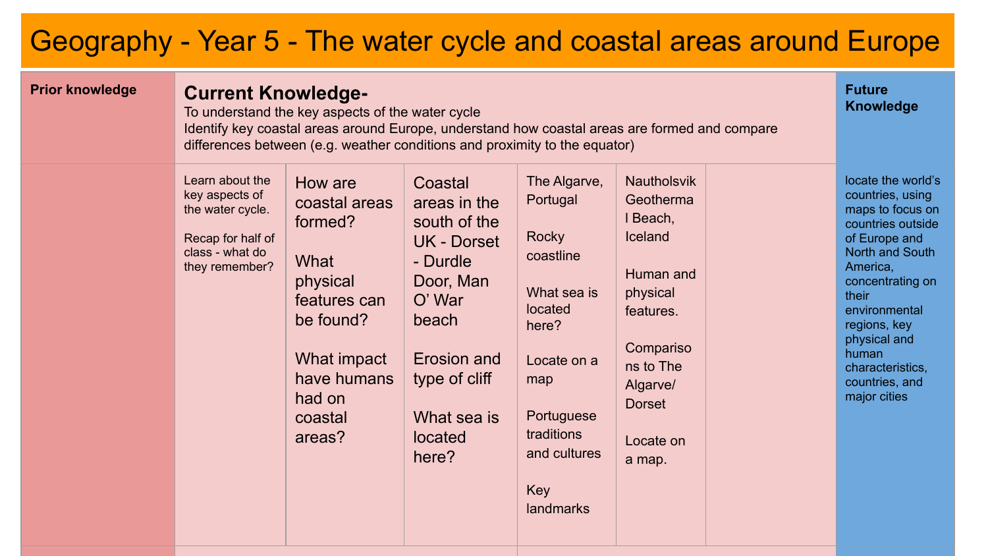## Geography - Year 5 - The water cycle and coastal areas around Europe

| <b>Prior knowledge</b> | <b>Current Knowledge-</b><br>To understand the key aspects of the water cycle<br>Identify key coastal areas around Europe, understand how coastal areas are formed and compare<br>differences between (e.g. weather conditions and proximity to the equator) |                                                                                                                                                   |                                                                                                                                                                              |                                                                                                                                                                         |                                                                                                                                                                            |  |                                                                                                                                                                                                                                                                              |
|------------------------|--------------------------------------------------------------------------------------------------------------------------------------------------------------------------------------------------------------------------------------------------------------|---------------------------------------------------------------------------------------------------------------------------------------------------|------------------------------------------------------------------------------------------------------------------------------------------------------------------------------|-------------------------------------------------------------------------------------------------------------------------------------------------------------------------|----------------------------------------------------------------------------------------------------------------------------------------------------------------------------|--|------------------------------------------------------------------------------------------------------------------------------------------------------------------------------------------------------------------------------------------------------------------------------|
|                        | Learn about the<br>key aspects of<br>the water cycle.<br>Recap for half of<br>class - what do<br>they remember?                                                                                                                                              | How are<br>coastal areas<br>formed?<br>What<br>physical<br>features can<br>be found?<br>What impact<br>have humans<br>had on<br>coastal<br>areas? | Coastal<br>areas in the<br>south of the<br><b>UK - Dorset</b><br>- Durdle<br>Door, Man<br>O' War<br>beach<br>Erosion and<br>type of cliff<br>What sea is<br>located<br>here? | The Algarve,<br>Portugal<br>Rocky<br>coastline<br>What sea is<br>located<br>here?<br>Locate on a<br>map<br>Portuguese<br>traditions<br>and cultures<br>Key<br>landmarks | <b>Nautholsvik</b><br>Geotherma<br>I Beach,<br>Iceland<br>Human and<br>physical<br>features.<br>Compariso<br>ns to The<br>Algarve/<br><b>Dorset</b><br>Locate on<br>a map. |  | locate the world's<br>countries, using<br>maps to focus on<br>countries outside<br>of Europe and<br>North and South<br>America,<br>concentrating on<br>their<br>environmental<br>regions, key<br>physical and<br>human<br>characteristics.<br>countries, and<br>major cities |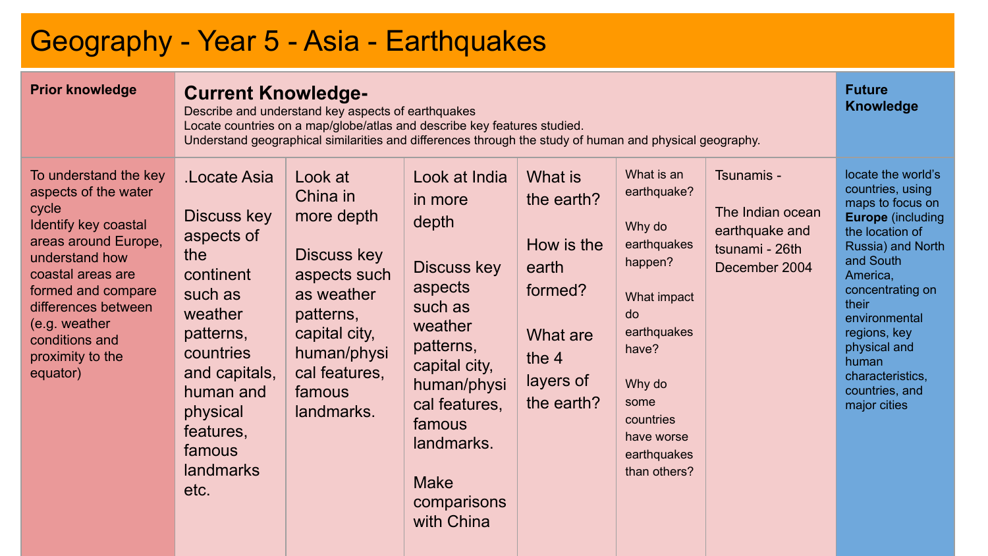## Geography - Year 5 - Asia - Earthquakes

| <b>Prior knowledge</b>                                                                                                                                                                                                                                        | <b>Future</b><br><b>Current Knowledge-</b><br><b>Knowledge</b><br>Describe and understand key aspects of earthquakes<br>Locate countries on a map/globe/atlas and describe key features studied.<br>Understand geographical similarities and differences through the study of human and physical geography. |                                                                                                                                                                      |                                                                                                                                                                                                                     |                                                                                                           |                                                                                                                                                                                        |                                                                                     |                                                                                                                                                                                                                                                                                                      |
|---------------------------------------------------------------------------------------------------------------------------------------------------------------------------------------------------------------------------------------------------------------|-------------------------------------------------------------------------------------------------------------------------------------------------------------------------------------------------------------------------------------------------------------------------------------------------------------|----------------------------------------------------------------------------------------------------------------------------------------------------------------------|---------------------------------------------------------------------------------------------------------------------------------------------------------------------------------------------------------------------|-----------------------------------------------------------------------------------------------------------|----------------------------------------------------------------------------------------------------------------------------------------------------------------------------------------|-------------------------------------------------------------------------------------|------------------------------------------------------------------------------------------------------------------------------------------------------------------------------------------------------------------------------------------------------------------------------------------------------|
| To understand the key<br>aspects of the water<br>cycle<br>Identify key coastal<br>areas around Europe,<br>understand how<br>coastal areas are<br>formed and compare<br>differences between<br>(e.g. weather<br>conditions and<br>proximity to the<br>equator) | Locate Asia<br>Discuss key<br>aspects of<br>the<br>continent<br>such as<br>weather<br>patterns,<br>countries<br>and capitals,<br>human and<br>physical<br>features,<br>famous<br>landmarks<br>etc.                                                                                                          | Look at<br>China in<br>more depth<br>Discuss key<br>aspects such<br>as weather<br>patterns,<br>capital city,<br>human/physi<br>cal features,<br>famous<br>landmarks. | Look at India<br>in more<br>depth<br>Discuss key<br>aspects<br>such as<br>weather<br>patterns,<br>capital city,<br>human/physi<br>cal features,<br>famous<br>landmarks.<br><b>Make</b><br>comparisons<br>with China | What is<br>the earth?<br>How is the<br>earth<br>formed?<br>What are<br>the $4$<br>layers of<br>the earth? | What is an<br>earthquake?<br>Why do<br>earthquakes<br>happen?<br>What impact<br>do<br>earthquakes<br>have?<br>Why do<br>some<br>countries<br>have worse<br>earthquakes<br>than others? | Tsunamis -<br>The Indian ocean<br>earthquake and<br>tsunami - 26th<br>December 2004 | locate the world's<br>countries, using<br>maps to focus on<br><b>Europe</b> (including<br>the location of<br>Russia) and North<br>and South<br>America,<br>concentrating on<br>their<br>environmental<br>regions, key<br>physical and<br>human<br>characteristics.<br>countries, and<br>major cities |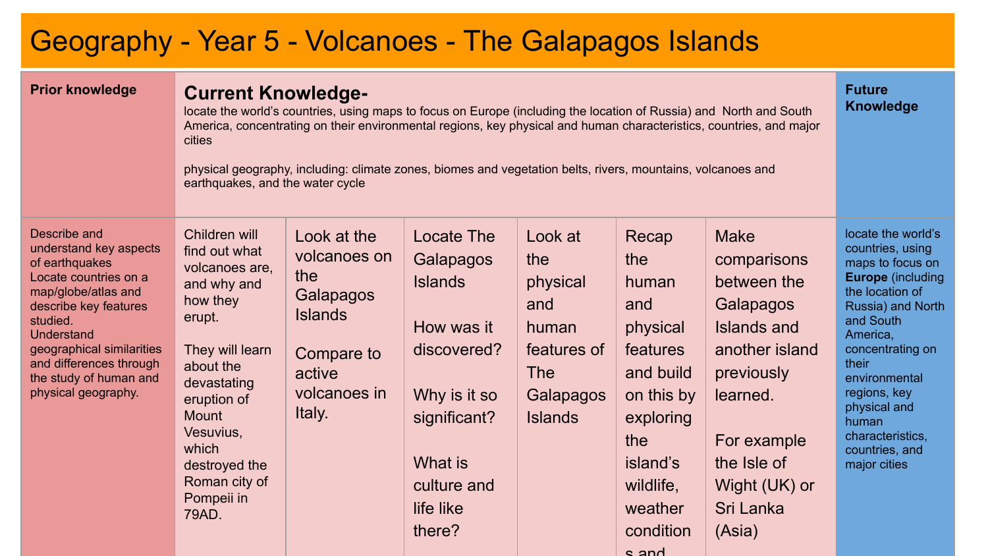### Geography - Year 5 - Volcanoes - The Galapagos Islands

| <b>Prior knowledge</b>                                                                                                                                                                                                                                               | <b>Current Knowledge-</b><br>locate the world's countries, using maps to focus on Europe (including the location of Russia) and North and South<br>America, concentrating on their environmental regions, key physical and human characteristics, countries, and major<br>cities<br>physical geography, including: climate zones, biomes and vegetation belts, rivers, mountains, volcanoes and<br>earthquakes, and the water cycle |                                                                                                                     |                                                                                                                                                         |                                                                                                        |                                                                                                                                                               |                                                                                                                                                                                                |                                                                                                                                                                                                                                                                                                      |
|----------------------------------------------------------------------------------------------------------------------------------------------------------------------------------------------------------------------------------------------------------------------|-------------------------------------------------------------------------------------------------------------------------------------------------------------------------------------------------------------------------------------------------------------------------------------------------------------------------------------------------------------------------------------------------------------------------------------|---------------------------------------------------------------------------------------------------------------------|---------------------------------------------------------------------------------------------------------------------------------------------------------|--------------------------------------------------------------------------------------------------------|---------------------------------------------------------------------------------------------------------------------------------------------------------------|------------------------------------------------------------------------------------------------------------------------------------------------------------------------------------------------|------------------------------------------------------------------------------------------------------------------------------------------------------------------------------------------------------------------------------------------------------------------------------------------------------|
| Describe and<br>understand key aspects<br>of earthquakes<br>Locate countries on a<br>map/globe/atlas and<br>describe key features<br>studied.<br>Understand<br>geographical similarities<br>and differences through<br>the study of human and<br>physical geography. | Children will<br>find out what<br>volcanoes are.<br>and why and<br>how they<br>erupt.<br>They will learn<br>about the<br>devastating<br>eruption of<br>Mount<br>Vesuvius,<br>which<br>destroyed the<br>Roman city of<br>Pompeii in<br>79AD.                                                                                                                                                                                         | Look at the<br>volcanoes on<br>the<br>Galapagos<br><b>Islands</b><br>Compare to<br>active<br>volcanoes in<br>Italy. | Locate The<br>Galapagos<br><b>Islands</b><br>How was it<br>discovered?<br>Why is it so<br>significant?<br>What is<br>culture and<br>life like<br>there? | Look at<br>the<br>physical<br>and<br>human<br>features of<br><b>The</b><br>Galapagos<br><b>Islands</b> | Recap<br>the<br>human<br>and<br>physical<br>features<br>and build<br>on this by<br>exploring<br>the<br>island's<br>wildlife,<br>weather<br>condition<br>s and | <b>Make</b><br>comparisons<br>between the<br>Galapagos<br><b>Islands and</b><br>another island<br>previously<br>learned.<br>For example<br>the Isle of<br>Wight (UK) or<br>Sri Lanka<br>(Asia) | locate the world's<br>countries, using<br>maps to focus on<br><b>Europe</b> (including<br>the location of<br>Russia) and North<br>and South<br>America,<br>concentrating on<br>their<br>environmental<br>regions, key<br>physical and<br>human<br>characteristics,<br>countries, and<br>major cities |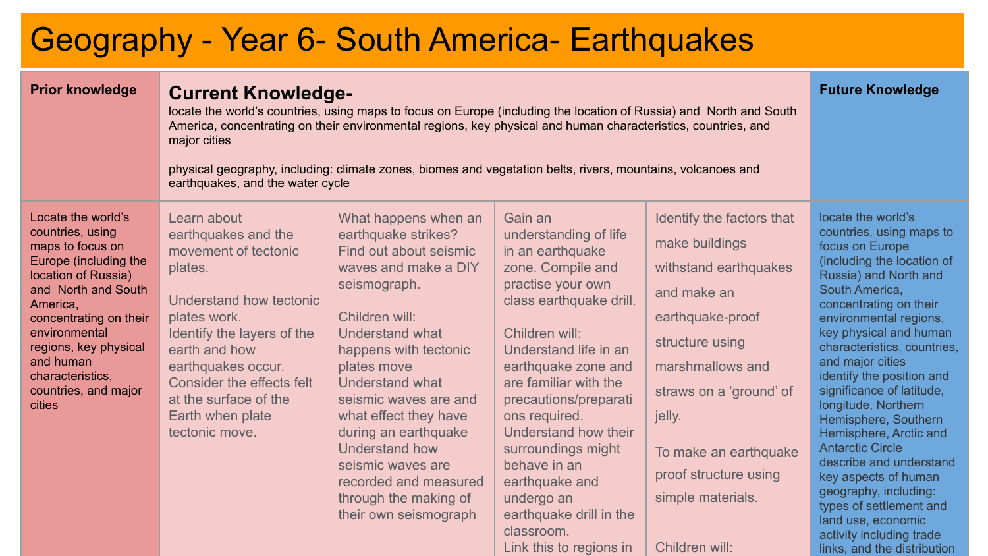# Geography - Year 6- South America- Earthquakes

| <b>Prior knowledge</b>                                                                                                                                                                                                                                                               | <b>Current Knowledge-</b><br>locate the world's countries, using maps to focus on Europe (including the location of Russia) and North and South<br>America, concentrating on their environmental regions, key physical and human characteristics, countries, and<br>major cities<br>physical geography, including: climate zones, biomes and vegetation belts, rivers, mountains, volcanoes and<br>earthquakes, and the water cycle | <b>Future Knowledge</b>                                                                                                                                                                                                                                                                                                                                                                                   |                                                                                                                                                                                                                                                                                                                                                                                                                                  |                                                                                                                                                                                                                                                                              |                                                                                                                                                                                                                                                                                                                                                                                                                                                                                                                                                                                                                                   |
|--------------------------------------------------------------------------------------------------------------------------------------------------------------------------------------------------------------------------------------------------------------------------------------|-------------------------------------------------------------------------------------------------------------------------------------------------------------------------------------------------------------------------------------------------------------------------------------------------------------------------------------------------------------------------------------------------------------------------------------|-----------------------------------------------------------------------------------------------------------------------------------------------------------------------------------------------------------------------------------------------------------------------------------------------------------------------------------------------------------------------------------------------------------|----------------------------------------------------------------------------------------------------------------------------------------------------------------------------------------------------------------------------------------------------------------------------------------------------------------------------------------------------------------------------------------------------------------------------------|------------------------------------------------------------------------------------------------------------------------------------------------------------------------------------------------------------------------------------------------------------------------------|-----------------------------------------------------------------------------------------------------------------------------------------------------------------------------------------------------------------------------------------------------------------------------------------------------------------------------------------------------------------------------------------------------------------------------------------------------------------------------------------------------------------------------------------------------------------------------------------------------------------------------------|
| Locate the world's<br>countries, using<br>maps to focus on<br>Europe (including the<br>location of Russia)<br>and North and South<br>America,<br>concentrating on their<br>environmental<br>regions, key physical<br>and human<br>characteristics,<br>countries, and major<br>cities | Learn about<br>earthquakes and the<br>movement of tectonic<br>plates.<br>Understand how tectonic<br>plates work.<br>Identify the layers of the<br>earth and how<br>earthquakes occur.<br>Consider the effects felt<br>at the surface of the<br>Earth when plate<br>tectonic move.                                                                                                                                                   | What happens when an<br>earthquake strikes?<br>Find out about seismic<br>waves and make a DIY<br>seismograph.<br>Children will:<br>Understand what<br>happens with tectonic<br>plates move<br>Understand what<br>seismic waves are and<br>what effect they have<br>during an earthquake<br>Understand how<br>seismic waves are<br>recorded and measured<br>through the making of<br>their own seismograph | Gain an<br>understanding of life<br>in an earthquake<br>zone. Compile and<br>practise your own<br>class earthquake drill.<br>Children will:<br>Understand life in an<br>earthquake zone and<br>are familiar with the<br>precautions/preparati<br>ons required.<br>Understand how their<br>surroundings might<br>behave in an<br>earthquake and<br>undergo an<br>earthquake drill in the<br>classroom.<br>Link this to regions in | Identify the factors that<br>make buildings<br>withstand earthquakes<br>and make an<br>earthquake-proof<br>structure using<br>marshmallows and<br>straws on a 'ground' of<br>jelly.<br>To make an earthquake<br>proof structure using<br>simple materials.<br>Children will: | locate the world's<br>countries, using maps to<br>focus on Europe<br>(including the location of<br>Russia) and North and<br>South America,<br>concentrating on their<br>environmental regions,<br>key physical and human<br>characteristics, countries,<br>and major cities<br>identify the position and<br>significance of latitude,<br>longitude, Northern<br>Hemisphere, Southern<br>Hemisphere, Arctic and<br><b>Antarctic Circle</b><br>describe and understand<br>key aspects of human<br>geography, including:<br>types of settlement and<br>land use, economic<br>activity including trade<br>links, and the distribution |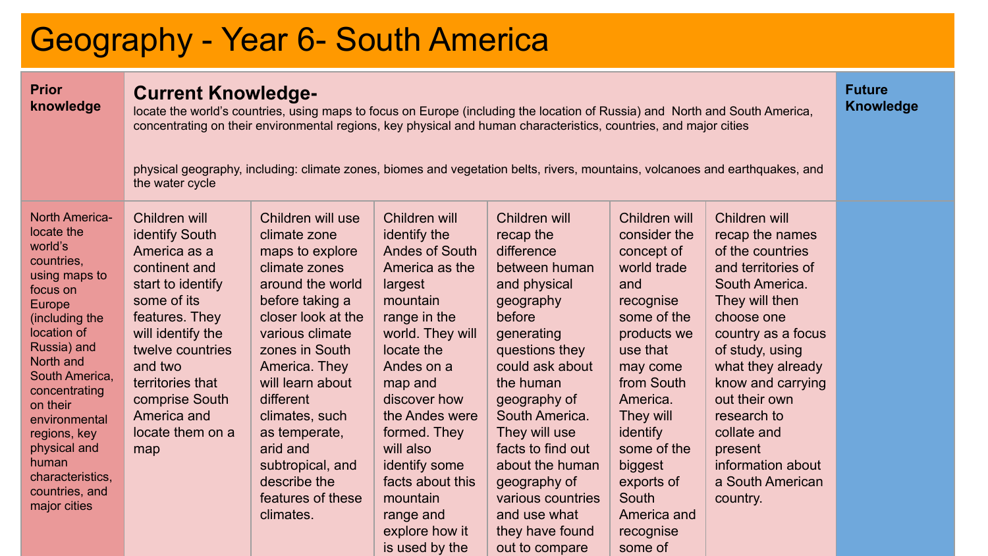# Geography - Year 6- South America

| <b>Prior</b><br>knowledge                                                                                                                                                                                                                                                                                                       | <b>Current Knowledge-</b><br>locate the world's countries, using maps to focus on Europe (including the location of Russia) and North and South America,<br>concentrating on their environmental regions, key physical and human characteristics, countries, and major cities<br>physical geography, including: climate zones, biomes and vegetation belts, rivers, mountains, volcanoes and earthquakes, and<br>the water cycle |                                                                                                                                                                                                                                                                                                                                                |                                                                                                                                                                                                                                                                                                                                      |                                                                                                                                                                                                                                                                                                                                                       |                                                                                                                                                                                                                                                                                 |                                                                                                                                                                                                                                                                                                                                |  |
|---------------------------------------------------------------------------------------------------------------------------------------------------------------------------------------------------------------------------------------------------------------------------------------------------------------------------------|----------------------------------------------------------------------------------------------------------------------------------------------------------------------------------------------------------------------------------------------------------------------------------------------------------------------------------------------------------------------------------------------------------------------------------|------------------------------------------------------------------------------------------------------------------------------------------------------------------------------------------------------------------------------------------------------------------------------------------------------------------------------------------------|--------------------------------------------------------------------------------------------------------------------------------------------------------------------------------------------------------------------------------------------------------------------------------------------------------------------------------------|-------------------------------------------------------------------------------------------------------------------------------------------------------------------------------------------------------------------------------------------------------------------------------------------------------------------------------------------------------|---------------------------------------------------------------------------------------------------------------------------------------------------------------------------------------------------------------------------------------------------------------------------------|--------------------------------------------------------------------------------------------------------------------------------------------------------------------------------------------------------------------------------------------------------------------------------------------------------------------------------|--|
| <b>North America-</b><br>locate the<br>world's<br>countries.<br>using maps to<br>focus on<br>Europe<br>(including the<br>location of<br>Russia) and<br>North and<br>South America,<br>concentrating<br>on their<br>environmental<br>regions, key<br>physical and<br>human<br>characteristics.<br>countries, and<br>major cities | Children will<br>identify South<br>America as a<br>continent and<br>start to identify<br>some of its<br>features. They<br>will identify the<br>twelve countries<br>and two<br>territories that<br>comprise South<br>America and<br>locate them on a<br>map                                                                                                                                                                       | Children will use<br>climate zone<br>maps to explore<br>climate zones<br>around the world<br>before taking a<br>closer look at the<br>various climate<br>zones in South<br>America. They<br>will learn about<br>different<br>climates, such<br>as temperate,<br>arid and<br>subtropical, and<br>describe the<br>features of these<br>climates. | Children will<br>identify the<br>Andes of South<br>America as the<br>largest<br>mountain<br>range in the<br>world. They will<br>locate the<br>Andes on a<br>map and<br>discover how<br>the Andes were<br>formed. They<br>will also<br>identify some<br>facts about this<br>mountain<br>range and<br>explore how it<br>is used by the | Children will<br>recap the<br>difference<br>between human<br>and physical<br>geography<br>before<br>generating<br>questions they<br>could ask about<br>the human<br>geography of<br>South America.<br>They will use<br>facts to find out<br>about the human<br>geography of<br>various countries<br>and use what<br>they have found<br>out to compare | Children will<br>consider the<br>concept of<br>world trade<br>and<br>recognise<br>some of the<br>products we<br>use that<br>may come<br>from South<br>America.<br>They will<br>identify<br>some of the<br>biggest<br>exports of<br>South<br>America and<br>recognise<br>some of | Children will<br>recap the names<br>of the countries<br>and territories of<br>South America.<br>They will then<br>choose one<br>country as a focus<br>of study, using<br>what they already<br>know and carrying<br>out their own<br>research to<br>collate and<br>present<br>information about<br>a South American<br>country. |  |